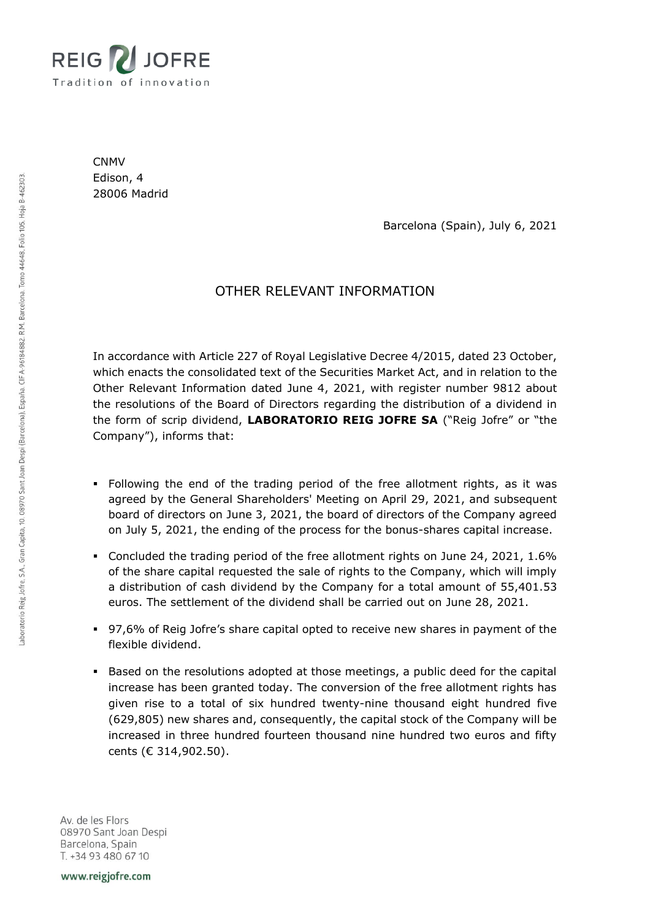

CNMV Edison, 4 28006 Madrid

Barcelona (Spain), July 6, 2021

## OTHER RELEVANT INFORMATION

In accordance with Article 227 of Royal Legislative Decree 4/2015, dated 23 October, which enacts the consolidated text of the Securities Market Act, and in relation to the Other Relevant Information dated June 4, 2021, with register number 9812 about the resolutions of the Board of Directors regarding the distribution of a dividend in the form of scrip dividend, **LABORATORIO REIG JOFRE SA** ("Reig Jofre" or "the Company"), informs that:

- Following the end of the trading period of the free allotment rights, as it was agreed by the General Shareholders' Meeting on April 29, 2021, and subsequent board of directors on June 3, 2021, the board of directors of the Company agreed on July 5, 2021, the ending of the process for the bonus-shares capital increase.
- Concluded the trading period of the free allotment rights on June 24, 2021, 1.6% of the share capital requested the sale of rights to the Company, which will imply a distribution of cash dividend by the Company for a total amount of 55,401.53 euros. The settlement of the dividend shall be carried out on June 28, 2021.
- 97,6% of Reig Jofre's share capital opted to receive new shares in payment of the flexible dividend.
- Based on the resolutions adopted at those meetings, a public deed for the capital increase has been granted today. The conversion of the free allotment rights has given rise to a total of six hundred twenty-nine thousand eight hundred five (629,805) new shares and, consequently, the capital stock of the Company will be increased in three hundred fourteen thousand nine hundred two euros and fifty cents (€ 314,902.50).

Av. de les Flors 08970 Sant Joan Despi Barcelona, Spain T. +34 93 480 67 10

www.reigjofre.com